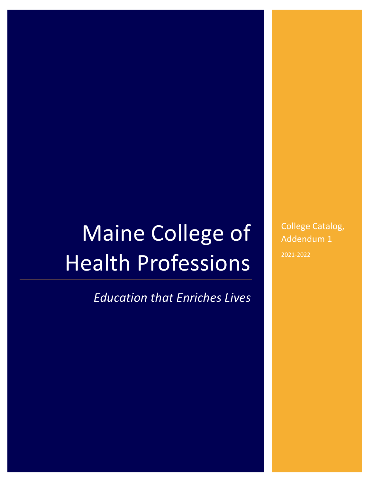# Maine College of Health Professions

*Education that Enriches Lives* 

College Catalog, Addendum 1 2021-2022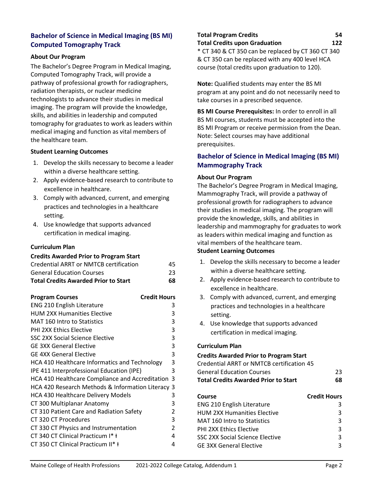## **Bachelor of Science in Medical Imaging (BS MI) Computed Tomography Track**

### **About Our Program**

The Bachelor's Degree Program in Medical Imaging, Computed Tomography Track, will provide a pathway of professional growth for radiographers, radiation therapists, or nuclear medicine technologists to advance their studies in medical imaging. The program will provide the knowledge, skills, and abilities in leadership and computed tomography for graduates to work as leaders within medical imaging and function as vital members of the healthcare team.

### **Student Learning Outcomes**

- 1. Develop the skills necessary to become a leader within a diverse healthcare setting.
- 2. Apply evidence-based research to contribute to excellence in healthcare.
- 3. Comply with advanced, current, and emerging practices and technologies in a healthcare setting.
- 4. Use knowledge that supports advanced certification in medical imaging.

## **Curriculum Plan**

#### **Credits Awarded Prior to Program Start**

| <b>Program Courses</b>                            | <b>Credit Hours</b> |
|---------------------------------------------------|---------------------|
| <b>ENG 210 English Literature</b>                 | 3                   |
| <b>HUM 2XX Humanities Elective</b>                | 3                   |
| <b>MAT 160 Intro to Statistics</b>                | 3                   |
| <b>PHI 2XX Ethics Elective</b>                    | 3                   |
| <b>SSC 2XX Social Science Elective</b>            | 3                   |
| <b>GE 3XX General Elective</b>                    | 3                   |
| <b>GE 4XX General Elective</b>                    | 3                   |
| HCA 410 Healthcare Informatics and Technology     | 3                   |
| IPE 411 Interprofessional Education (IPE)         | 3                   |
| HCA 410 Healthcare Compliance and Accreditation 3 |                     |
| HCA 420 Research Methods & Information Literacy 3 |                     |
| <b>HCA 430 Healthcare Delivery Models</b>         | 3                   |
| CT 300 Multiplanar Anatomy                        | 3                   |
| CT 310 Patient Care and Radiation Safety          | $\overline{2}$      |
| CT 320 CT Procedures                              | 3                   |
| CT 330 CT Physics and Instrumentation             | $\mathcal{P}$       |
| CT 340 CT Clinical Practicum I* +                 | 4                   |
| CT 350 CT Clinical Practicum II* +                | 4                   |

## **Total Program Credits 54 Total Credits upon Graduation 122** \* CT 340 & CT 350 can be replaced by CT 360 CT 340

& CT 350 can be replaced with any 400 level HCA course (total credits upon graduation to 120).

**Note:** Qualified students may enter the BS MI program at any point and do not necessarily need to take courses in a prescribed sequence.

**BS MI Course Prerequisites:** In order to enroll in all BS MI courses, students must be accepted into the BS MI Program or receive permission from the Dean. Note: Select courses may have additional prerequisites.

## **Bachelor of Science in Medical Imaging (BS MI) Mammography Track**

#### **About Our Program**

The Bachelor's Degree Program in Medical Imaging, Mammography Track, will provide a pathway of professional growth for radiographers to advance their studies in medical imaging. The program will provide the knowledge, skills, and abilities in leadership and mammography for graduates to work as leaders within medical imaging and function as vital members of the healthcare team.

## **Student Learning Outcomes**

- 1. Develop the skills necessary to become a leader within a diverse healthcare setting.
- 2. Apply evidence-based research to contribute to excellence in healthcare.
- 3. Comply with advanced, current, and emerging practices and technologies in a healthcare setting.
- 4. Use knowledge that supports advanced certification in medical imaging.

#### **Curriculum Plan**

#### **Credits Awarded Prior to Program Start**

| Credential ARRT or NMTCB certification 45 |    |
|-------------------------------------------|----|
| General Education Courses                 | 23 |
| Total Credits Awarded Prior to Start      | 68 |

| Course                             | <b>Credit Hours</b> |
|------------------------------------|---------------------|
| <b>ENG 210 English Literature</b>  | ર                   |
| <b>HUM 2XX Humanities Elective</b> | 3                   |
| MAT 160 Intro to Statistics        | ર                   |
| <b>PHI 2XX Ethics Elective</b>     | ર                   |
| SSC 2XX Social Science Elective    | ર                   |
| <b>GE 3XX General Elective</b>     | ર                   |
|                                    |                     |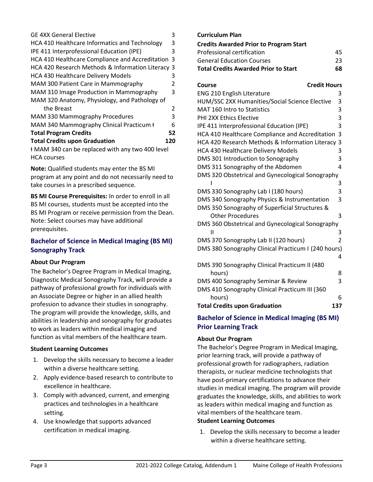| <b>GE 4XX General Elective</b>                    | 3   |
|---------------------------------------------------|-----|
| HCA 410 Healthcare Informatics and Technology     | 3   |
| IPE 411 Interprofessional Education (IPE)         | 3   |
| HCA 410 Healthcare Compliance and Accreditation 3 |     |
| HCA 420 Research Methods & Information Literacy 3 |     |
| <b>HCA 430 Healthcare Delivery Models</b>         | 3   |
| MAM 300 Patient Care in Mammography               | 2   |
| MAM 310 Image Production in Mammography           | 3   |
| MAM 320 Anatomy, Physiology, and Pathology of     |     |
| the Breast                                        | 2   |
| <b>MAM 330 Mammography Procedures</b>             | 3   |
| MAM 340 Mammography Clinical Practicum H          | 6   |
| <b>Total Program Credits</b>                      | 52  |
| <b>Total Credits upon Graduation</b>              | 120 |
| HMAM 340 can be replaced with any two 400 level   |     |

HCA courses

**Note:** Qualified students may enter the BS MI program at any point and do not necessarily need to take courses in a prescribed sequence.

**BS MI Course Prerequisites:** In order to enroll in all BS MI courses, students must be accepted into the BS MI Program or receive permission from the Dean. Note: Select courses may have additional prerequisites.

## **Bachelor of Science in Medical Imaging (BS MI) Sonography Track**

## **About Our Program**

The Bachelor's Degree Program in Medical Imaging, Diagnostic Medical Sonography Track, will provide a pathway of professional growth for individuals with an Associate Degree or higher in an allied health profession to advance their studies in sonography. The program will provide the knowledge, skills, and abilities in leadership and sonography for graduates to work as leaders within medical imaging and function as vital members of the healthcare team.

## **Student Learning Outcomes**

- 1. Develop the skills necessary to become a leader within a diverse healthcare setting.
- 2. Apply evidence-based research to contribute to excellence in healthcare.
- 3. Comply with advanced, current, and emerging practices and technologies in a healthcare setting.
- 4. Use knowledge that supports advanced certification in medical imaging.

## **Curriculum Plan**

| <b>Credits Awarded Prior to Program Start</b> |    |
|-----------------------------------------------|----|
| Professional certification                    | 45 |
| <b>General Education Courses</b>              | 23 |
| <b>Total Credits Awarded Prior to Start</b>   | 68 |

| <b>Credit Hours</b><br><b>Course</b>                |     |
|-----------------------------------------------------|-----|
| <b>ENG 210 English Literature</b>                   | 3   |
| HUM/SSC 2XX Humanities/Social Science Elective      | 3   |
| MAT 160 Intro to Statistics                         | 3   |
| <b>PHI 2XX Ethics Elective</b>                      | 3   |
| IPE 411 Interprofessional Education (IPE)           | 3   |
| HCA 410 Healthcare Compliance and Accreditation     | 3   |
| HCA 420 Research Methods & Information Literacy     | 3   |
| <b>HCA 430 Healthcare Delivery Models</b>           | 3   |
| DMS 301 Introduction to Sonography                  | 3   |
| DMS 311 Sonography of the Abdomen                   | 4   |
| DMS 320 Obstetrical and Gynecological Sonography    |     |
|                                                     | 3   |
| DMS 330 Sonography Lab I (180 hours)                | 3   |
| DMS 340 Sonography Physics & Instrumentation        | 3   |
| DMS 350 Sonography of Superficial Structures &      |     |
| <b>Other Procedures</b>                             | 3   |
| DMS 360 Obstetrical and Gynecological Sonography    |     |
| Ш                                                   | 3   |
| DMS 370 Sonography Lab II (120 hours)               | 2   |
| DMS 380 Sonography Clinical Practicum I (240 hours) |     |
|                                                     | 4   |
| DMS 390 Sonography Clinical Practicum II (480       |     |
| hours)                                              | 8   |
| DMS 400 Sonography Seminar & Review                 | 3   |
| DMS 410 Sonography Clinical Practicum III (360      |     |
| hours)                                              | 6   |
| <b>Total Credits upon Graduation</b>                | 137 |

# **Bachelor of Science in Medical Imaging (BS MI) Prior Learning Track**

## **About Our Program**

The Bachelor's Degree Program in Medical Imaging, prior learning track, will provide a pathway of professional growth for radiographers, radiation therapists, or nuclear medicine technologists that have post-primary certifications to advance their studies in medical imaging. The program will provide graduates the knowledge, skills, and abilities to work as leaders within medical imaging and function as vital members of the healthcare team. **Student Learning Outcomes**

1. Develop the skills necessary to become a leader within a diverse healthcare setting.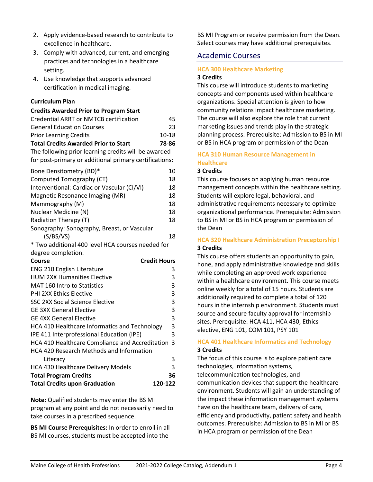- 2. Apply evidence-based research to contribute to excellence in healthcare.
- 3. Comply with advanced, current, and emerging practices and technologies in a healthcare setting.
- 4. Use knowledge that supports advanced certification in medical imaging.

### **Curriculum Plan**

| <b>Credits Awarded Prior to Program Start</b>          |       |
|--------------------------------------------------------|-------|
| Credential ARRT or NMTCB certification                 | 45    |
| <b>General Education Courses</b>                       | 23    |
| <b>Prior Learning Credits</b>                          | 10-18 |
| <b>Total Credits Awarded Prior to Start</b>            | 78-86 |
| The following prior learning credits will be awarded   |       |
| for post-primary or additional primary certifications: |       |
| Bone Densitometry (BD)*                                | 10    |
| Computed Tomography (CT)                               | 18    |
| Interventional: Cardiac or Vascular (CI/VI)            | 18    |
| Magnetic Resonance Imaging (MR)                        | 18    |
| Mammography (M)                                        | 18    |
| Nuclear Medicine (N)                                   | 18    |
| Radiation Therapy (T)                                  | 18    |
| Sonography: Sonography, Breast, or Vascular            |       |
| (S/BS/VS)                                              | 18    |
| * Two additional 400 level HCA courses needed for      |       |
| degree completion.                                     |       |
| <b>Credit Hours</b><br>Course                          |       |
| <b>ENG 210 English Literature</b>                      | 3     |
| <b>HUM 2XX Humanities Elective</b>                     | 3     |
| MAT 160 Intro to Statistics                            | 3     |
| <b>PHI 2XX Ethics Elective</b>                         | 3     |
| SSC 2XX Social Science Elective                        | 3     |
| <b>GE 3XX General Elective</b>                         | 3     |
| <b>GF 4XX General Flective</b>                         | 3     |
| HCA 410 Healthcare Informatics and Technology          | 3     |
|                                                        |       |

| IPE 411 Interprofessional Education (IPE)         |         | 3  |
|---------------------------------------------------|---------|----|
| HCA 410 Healthcare Compliance and Accreditation 3 |         |    |
| HCA 420 Research Methods and Information          |         |    |
| Literacy                                          |         | ς  |
| HCA 430 Healthcare Delivery Models                |         | ς  |
| <b>Total Program Credits</b>                      |         | 36 |
| <b>Total Credits upon Graduation</b>              | 120-122 |    |

**Note:** Qualified students may enter the BS MI program at any point and do not necessarily need to take courses in a prescribed sequence.

**BS MI Course Prerequisites:** In order to enroll in all BS MI courses, students must be accepted into the

BS MI Program or receive permission from the Dean. Select courses may have additional prerequisites.

# Academic Courses

## **HCA 300 Healthcare Marketing**

## **3 Credits**

This course will introduce students to marketing concepts and components used within healthcare organizations. Special attention is given to how community relations impact healthcare marketing. The course will also explore the role that current marketing issues and trends play in the strategic planning process. Prerequisite: Admission to BS in MI or BS in HCA program or permission of the Dean

## **HCA 310 Human Resource Management in Healthcare**

## **3 Credits**

This course focuses on applying human resource management concepts within the healthcare setting. Students will explore legal, behavioral, and administrative requirements necessary to optimize organizational performance. Prerequisite: Admission to BS in MI or BS in HCA program or permission of the Dean

## **HCA 320 Healthcare Administration Preceptorship I 3 Credits**

This course offers students an opportunity to gain, hone, and apply administrative knowledge and skills while completing an approved work experience within a healthcare environment. This course meets online weekly for a total of 15 hours. Students are additionally required to complete a total of 120 hours in the internship environment. Students must source and secure faculty approval for internship sites. Prerequisite: HCA 411, HCA 430, Ethics elective, ENG 101, COM 101, PSY 101

### **HCA 401 Healthcare Informatics and Technology 3 Credits**

The focus of this course is to explore patient care technologies, information systems, telecommunication technologies, and communication devices that support the healthcare environment. Students will gain an understanding of the impact these information management systems have on the healthcare team, delivery of care, efficiency and productivity, patient safety and health outcomes. Prerequisite: Admission to BS in MI or BS in HCA program or permission of the Dean